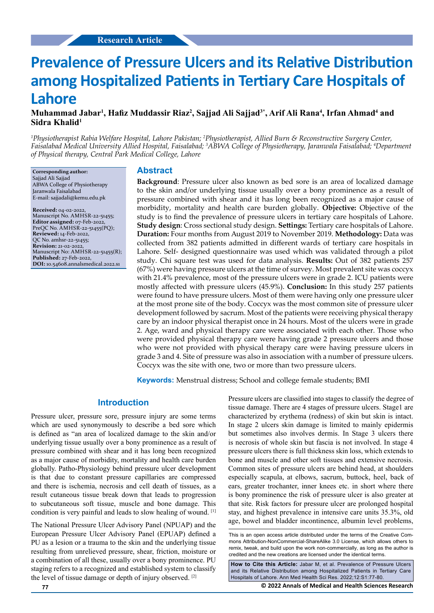# **Prevalence of Pressure Ulcers and its Relative Distribution among Hospitalized Patients in Tertiary Care Hospitals of Lahore**

# **Muhammad Jabar1 , Hafiz Muddassir Riaz<sup>2</sup> , Sajjad Ali Sajjad3\*, Arif Ali Rana<sup>4</sup> , Irfan Ahmad<sup>4</sup> and Sidra Khalid<sup>1</sup>**

<sup>1</sup> Physiotherapist Rabia Welfare Hospital, Lahore Pakistan; <sup>2</sup> Physiotherapist, Allied Burn & Reconstructive Surgery Center, *Faisalabad Medical University Allied Hospital, Faisalabad; 3 ABWA College of Physiotherapy, Jaranwala Faisalabad; 4 Department of Physical therapy, Central Park Medical College, Lahore*

**Corresponding author:** Sajjad Ali Sajjad ABWA College of Physiotherapy Jaranwala Faisalabad E-mail: sajjadali@kemu.edu.pk

**Received:** 04-02-2022, Manuscript No. AMHSR-22-51455; **Editor assigned:** 07-Feb-2022, PreQC No. AMHSR-22-51455(PQ); **Reviewed:** 14-Feb-2022, QC No. amhsr-22-51455; **Revision:** 21-02-2022, Manuscript No: AMHSR-22-51455(R); **Published:** 27-Feb-2022, **DOI:** 10.54608.annalsmedical.2022.s1

#### **Abstract**

**Background**: Pressure ulcer also known as bed sore is an area of localized damage to the skin and/or underlying tissue usually over a bony prominence as a result of pressure combined with shear and it has long been recognized as a major cause of morbidity, mortality and health care burden globally. **Objective:** Objective of the study is to find the prevalence of pressure ulcers in tertiary care hospitals of Lahore. **Study design**: Cross sectional study design. **Settings:** Tertiary care hospitals of Lahore. **Duration:** Four months from August 2019 to November 2019. **Methodology:** Data was collected from 382 patients admitted in different wards of tertiary care hospitals in Lahore. Self- designed questionnaire was used which was validated through a pilot study. Chi square test was used for data analysis. **Results:** Out of 382 patients 257 (67%) were having pressure ulcers at the time of survey. Most prevalent site was coccyx with 21.4% prevalence, most of the pressure ulcers were in grade 2. ICU patients were mostly affected with pressure ulcers (45.9%). **Conclusion:** In this study 257 patients were found to have pressure ulcers. Most of them were having only one pressure ulcer at the most prone site of the body. Coccyx was the most common site of pressure ulcer development followed by sacrum. Most of the patients were receiving physical therapy care by an indoor physical therapist once in 24 hours. Most of the ulcers were in grade 2. Age, ward and physical therapy care were associated with each other. Those who were provided physical therapy care were having grade 2 pressure ulcers and those who were not provided with physical therapy care were having pressure ulcers in grade 3 and 4. Site of pressure was also in association with a number of pressure ulcers. Coccyx was the site with one, two or more than two pressure ulcers.

**Keywords:** Menstrual distress; School and college female students; BMI

## **Introduction**

Pressure ulcer, pressure sore, pressure injury are some terms which are used synonymously to describe a bed sore which is defined as "an area of localized damage to the skin and/or underlying tissue usually over a bony prominence as a result of pressure combined with shear and it has long been recognized as a major cause of morbidity, mortality and health care burden globally. Patho-Physiology behind pressure ulcer development is that due to constant pressure capillaries are compressed and there is ischemia, necrosis and cell death of tissues, as a result cutaneous tissue break down that leads to progression to subcutaneous soft tissue, muscle and bone damage. This condition is very painful and leads to slow healing of wound. [1]

The National Pressure Ulcer Advisory Panel (NPUAP) and the European Pressure Ulcer Advisory Panel (EPUAP) defined a PU as a lesion or a trauma to the skin and the underlying tissue resulting from unrelieved pressure, shear, friction, moisture or a combination of all these, usually over a bony prominence. PU staging refers to a recognized and established system to classify the level of tissue damage or depth of injury observed. [2]

Pressure ulcers are classified into stages to classify the degree of tissue damage. There are 4 stages of pressure ulcers. Stage1 are characterized by erythema (redness) of skin but skin is intact. In stage 2 ulcers skin damage is limited to mainly epidermis but sometimes also involves dermis. In Stage 3 ulcers there is necrosis of whole skin but fascia is not involved. In stage 4 pressure ulcers there is full thickness skin loss, which extends to bone and muscle and other soft tissues and extensive necrosis. Common sites of pressure ulcers are behind head, at shoulders especially scapula, at elbows, sacrum, buttock, heel, back of ears, greater trochanter, inner knees etc. in short where there is bony prominence the risk of pressure ulcer is also greater at that site. Risk factors for pressure ulcer are prolonged hospital stay, and highest prevalence in intensive care units 35.3%, old age, bowel and bladder incontinence, albumin level problems,

This is an open access article distributed under the terms of the Creative Commons Attribution-NonCommercial-ShareAlike 3.0 License, which allows others to remix, tweak, and build upon the work non‑commercially, as long as the author is credited and the new creations are licensed under the identical terms.

**How to Cite this Article:** Jabar M, et al. Prevalence of Pressure Ulcers and its Relative Distribution among Hospitalized Patients in Tertiary Care Hospitals of Lahore. Ann Med Health Sci Res. 2022;12:S1:77-80.

**77 © 2022 Annals of Medical and Health Sciences Research**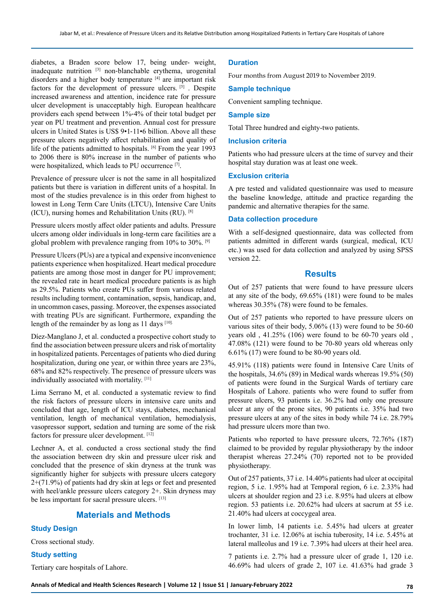diabetes, a Braden score below 17, being under- weight, inadequate nutrition [3] non-blanchable erythema, urogenital disorders and a higher body temperature <sup>[4]</sup> are important risk factors for the development of pressure ulcers. [5] . Despite increased awareness and attention, incidence rate for pressure ulcer development is unacceptably high. European healthcare providers each spend between 1%‐4% of their total budget per year on PU treatment and prevention. Annual cost for pressure ulcers in United States is US\$ 9•1-11•6 billion. Above all these pressure ulcers negatively affect rehabilitation and quality of life of the patients admitted to hospitals. [6] From the year 1993 to 2006 there is 80% increase in the number of patients who were hospitalized, which leads to PU occurrence [7].

Prevalence of pressure ulcer is not the same in all hospitalized patients but there is variation in different units of a hospital. In most of the studies prevalence is in this order from highest to lowest in Long Term Care Units (LTCU), Intensive Care Units (ICU), nursing homes and Rehabilitation Units (RU). [8]

Pressure ulcers mostly affect older patients and adults. Pressure ulcers among older individuals in long-term care facilities are a global problem with prevalence ranging from 10% to 30%. [9]

Pressure Ulcers (PUs) are a typical and expensive inconvenience patients experience when hospitalized. Heart medical procedure patients are among those most in danger for PU improvement; the revealed rate in heart medical procedure patients is as high as 29.5%. Patients who create PUs suffer from various related results including torment, contamination, sepsis, handicap, and, in uncommon cases, passing. Moreover, the expenses associated with treating PUs are significant. Furthermore, expanding the length of the remainder by as long as 11 days [10].

Díez-Manglano J, et al. conducted a prospective cohort study to find the association between pressure ulcers and risk of mortality in hospitalized patients. Percentages of patients who died during hospitalization, during one year, or within three years are 23%, 68% and 82% respectively. The presence of pressure ulcers was individually associated with mortality. [11]

Lima Serrano M, et al. conducted a systematic review to find the risk factors of pressure ulcers in intensive care units and concluded that age, length of ICU stays, diabetes, mechanical ventilation, length of mechanical ventilation, hemodialysis, vasopressor support, sedation and turning are some of the risk factors for pressure ulcer development. [12]

Lechner A, et al. conducted a cross sectional study the find the association between dry skin and pressure ulcer risk and concluded that the presence of skin dryness at the trunk was significantly higher for subjects with pressure ulcers category 2+(71.9%) of patients had dry skin at legs or feet and presented with heel/ankle pressure ulcers category 2+. Skin dryness may be less important for sacral pressure ulcers. [13]

## **Materials and Methods**

## **Study Design**

Cross sectional study.

#### **Study setting**

Tertiary care hospitals of Lahore.

#### **Duration**

Four months from August 2019 to November 2019.

#### **Sample technique**

Convenient sampling technique.

## **Sample size**

Total Three hundred and eighty-two patients.

#### **Inclusion criteria**

Patients who had pressure ulcers at the time of survey and their hospital stay duration was at least one week.

#### **Exclusion criteria**

A pre tested and validated questionnaire was used to measure the baseline knowledge, attitude and practice regarding the pandemic and alternative therapies for the same.

## **Data collection procedure**

With a self-designed questionnaire, data was collected from patients admitted in different wards (surgical, medical, ICU etc.) was used for data collection and analyzed by using SPSS version 22.

#### **Results**

Out of 257 patients that were found to have pressure ulcers at any site of the body, 69.65% (181) were found to be males whereas 30.35% (78) were found to be females.

Out of 257 patients who reported to have pressure ulcers on various sites of their body, 5.06% (13) were found to be 50-60 years old , 41.25% (106) were found to be 60-70 years old , 47.08% (121) were found to be 70-80 years old whereas only 6.61% (17) were found to be 80-90 years old.

45.91% (118) patients were found in Intensive Care Units of the hospitals, 34.6% (89) in Medical wards whereas 19.5% (50) of patients were found in the Surgical Wards of tertiary care Hospitals of Lahore. patients who were found to suffer from pressure ulcers, 93 patients i.e. 36.2% had only one pressure ulcer at any of the prone sites, 90 patients i.e. 35% had two pressure ulcers at any of the sites in body while 74 i.e. 28.79% had pressure ulcers more than two.

Patients who reported to have pressure ulcers, 72.76% (187) claimed to be provided by regular physiotherapy by the indoor therapist whereas 27.24% (70) reported not to be provided physiotherapy.

Out of 257 patients, 37 i.e. 14.40% patients had ulcer at occipital region, 5 i.e. 1.95% had at Temporal region, 6 i.e. 2.33% had ulcers at shoulder region and 23 i.e. 8.95% had ulcers at elbow region. 53 patients i.e. 20.62% had ulcers at sacrum at 55 i.e. 21.40% had ulcers at coccygeal area.

In lower limb, 14 patients i.e. 5.45% had ulcers at greater trochanter, 31 i.e. 12.06% at ischia tuberosity, 14 i.e. 5.45% at lateral malleolus and 19 i.e. 7.39% had ulcers at their heel area.

7 patients i.e. 2.7% had a pressure ulcer of grade 1, 120 i.e. 46.69% had ulcers of grade 2, 107 i.e. 41.63% had grade 3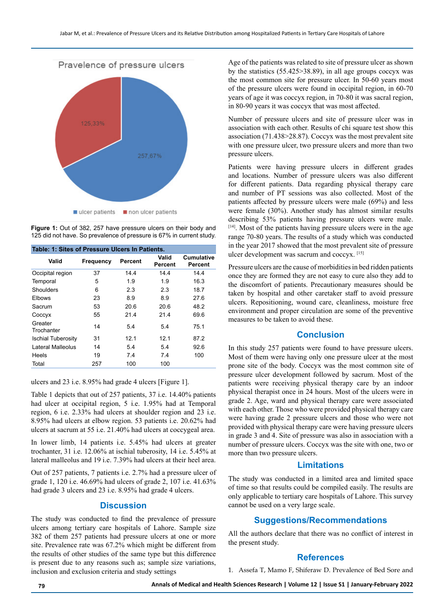

**Figure 1:** Out of 382, 257 have pressure ulcers on their body and 125 did not have. So prevalence of pressure is 67% in current study.

| Table: 1: Sites of Pressure Ulcers In Patients. |                  |         |                  |                              |
|-------------------------------------------------|------------------|---------|------------------|------------------------------|
| Valid                                           | <b>Frequency</b> | Percent | Valid<br>Percent | <b>Cumulative</b><br>Percent |
| Occipital region                                | 37               | 14.4    | 14.4             | 14.4                         |
| Temporal                                        | 5                | 1.9     | 1.9              | 16.3                         |
| Shoulders                                       | 6                | 2.3     | 2.3              | 18.7                         |
| <b>Elbows</b>                                   | 23               | 8.9     | 8.9              | 27.6                         |
| Sacrum                                          | 53               | 20.6    | 20.6             | 48.2                         |
| Coccyx                                          | 55               | 21.4    | 21.4             | 69.6                         |
| Greater<br>Trochanter                           | 14               | 5.4     | 5.4              | 75.1                         |
| <b>Ischial Tuberosity</b>                       | 31               | 12.1    | 12.1             | 87.2                         |
| Lateral Malleolus                               | 14               | 5.4     | 5.4              | 92.6                         |
| Heels                                           | 19               | 7.4     | 7.4              | 100                          |
| Total                                           | 257              | 100     | 100              |                              |

ulcers and 23 i.e. 8.95% had grade 4 ulcers [Figure 1].

Table 1 depicts that out of 257 patients, 37 i.e. 14.40% patients had ulcer at occipital region, 5 i.e. 1.95% had at Temporal region, 6 i.e. 2.33% had ulcers at shoulder region and 23 i.e. 8.95% had ulcers at elbow region. 53 patients i.e. 20.62% had ulcers at sacrum at 55 i.e. 21.40% had ulcers at coccygeal area.

In lower limb, 14 patients i.e. 5.45% had ulcers at greater trochanter, 31 i.e. 12.06% at ischial tuberosity, 14 i.e. 5.45% at lateral malleolus and 19 i.e. 7.39% had ulcers at their heel area.

Out of 257 patients, 7 patients i.e. 2.7% had a pressure ulcer of grade 1, 120 i.e. 46.69% had ulcers of grade 2, 107 i.e. 41.63% had grade 3 ulcers and 23 i.e. 8.95% had grade 4 ulcers.

## **Discussion**

The study was conducted to find the prevalence of pressure ulcers among tertiary care hospitals of Lahore. Sample size 382 of them 257 patients had pressure ulcers at one or more site. Prevalence rate was 67.2% which might be different from the results of other studies of the same type but this difference is present due to any reasons such as; sample size variations, inclusion and exclusion criteria and study settings

Age of the patients was related to site of pressure ulcer as shown by the statistics (55.425>38.89), in all age groups coccyx was the most common site for pressure ulcer. In 50-60 years most of the pressure ulcers were found in occipital region, in 60-70 years of age it was coccyx region, in 70-80 it was sacral region, in 80-90 years it was coccyx that was most affected.

Number of pressure ulcers and site of pressure ulcer was in association with each other. Results of chi square test show this association (71.438>28.87). Coccyx was the most prevalent site with one pressure ulcer, two pressure ulcers and more than two pressure ulcers.

Patients were having pressure ulcers in different grades and locations. Number of pressure ulcers was also different for different patients. Data regarding physical therapy care and number of PT sessions was also collected. Most of the patients affected by pressure ulcers were male (69%) and less were female (30%). Another study has almost similar results describing 53% patients having pressure ulcers were male. [14]. Most of the patients having pressure ulcers were in the age range 70-80 years. The results of a study which was conducted in the year 2017 showed that the most prevalent site of pressure ulcer development was sacrum and coccyx. [15]

Pressure ulcers are the cause of morbidities in bed ridden patients once they are formed they are not easy to cure also they add to the discomfort of patients. Precautionary measures should be taken by hospital and other caretaker staff to avoid pressure ulcers. Repositioning, wound care, cleanliness, moisture free environment and proper circulation are some of the preventive measures to be taken to avoid these.

## **Conclusion**

In this study 257 patients were found to have pressure ulcers. Most of them were having only one pressure ulcer at the most prone site of the body. Coccyx was the most common site of pressure ulcer development followed by sacrum. Most of the patients were receiving physical therapy care by an indoor physical therapist once in 24 hours. Most of the ulcers were in grade 2. Age, ward and physical therapy care were associated with each other. Those who were provided physical therapy care were having grade 2 pressure ulcers and those who were not provided with physical therapy care were having pressure ulcers in grade 3 and 4. Site of pressure was also in association with a number of pressure ulcers. Coccyx was the site with one, two or more than two pressure ulcers.

## **Limitations**

The study was conducted in a limited area and limited space of time so that results could be compiled easily. The results are only applicable to tertiary care hospitals of Lahore. This survey cannot be used on a very large scale.

## **Suggestions/Recommendations**

All the authors declare that there was no conflict of interest in the present study.

## **References**

1. Assefa T, Mamo F, Shiferaw D. [Prevalence of Bed Sore and](https://ideas.repec.org/a/adp/joroaj/v8y2017i4p74-81.html)